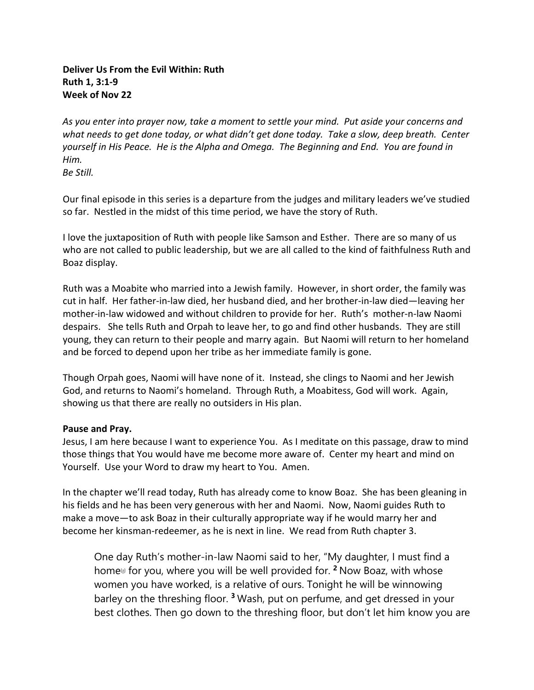# **Deliver Us From the Evil Within: Ruth Ruth 1, 3:1-9 Week of Nov 22**

*As you enter into prayer now, take a moment to settle your mind. Put aside your concerns and what needs to get done today, or what didn't get done today. Take a slow, deep breath. Center yourself in His Peace. He is the Alpha and Omega. The Beginning and End. You are found in Him. Be Still.* 

Our final episode in this series is a departure from the judges and military leaders we've studied so far. Nestled in the midst of this time period, we have the story of Ruth.

I love the juxtaposition of Ruth with people like Samson and Esther. There are so many of us who are not called to public leadership, but we are all called to the kind of faithfulness Ruth and Boaz display.

Ruth was a Moabite who married into a Jewish family. However, in short order, the family was cut in half. Her father-in-law died, her husband died, and her brother-in-law died—leaving her mother-in-law widowed and without children to provide for her. Ruth's mother-n-law Naomi despairs. She tells Ruth and Orpah to leave her, to go and find other husbands. They are still young, they can return to their people and marry again. But Naomi will return to her homeland and be forced to depend upon her tribe as her immediate family is gone.

Though Orpah goes, Naomi will have none of it. Instead, she clings to Naomi and her Jewish God, and returns to Naomi's homeland. Through Ruth, a Moabitess, God will work. Again, showing us that there are really no outsiders in His plan.

# **Pause and Pray.**

Jesus, I am here because I want to experience You. As I meditate on this passage, draw to mind those things that You would have me become more aware of. Center my heart and mind on Yourself. Use your Word to draw my heart to You. Amen.

In the chapter we'll read today, Ruth has already come to know Boaz. She has been gleaning in his fields and he has been very generous with her and Naomi. Now, Naomi guides Ruth to make a move—to ask Boaz in their culturally appropriate way if he would marry her and become her kinsman-redeemer, as he is next in line. We read from Ruth chapter 3.

One day Ruth's mother-in-law Naomi said to her, "My daughter, I must find a home[a] for you, where you will be well provided for. **<sup>2</sup>** Now Boaz, with whose women you have worked, is a relative of ours. Tonight he will be winnowing barley on the threshing floor. **<sup>3</sup>** Wash, put on perfume, and get dressed in your best clothes. Then go down to the threshing floor, but don't let him know you are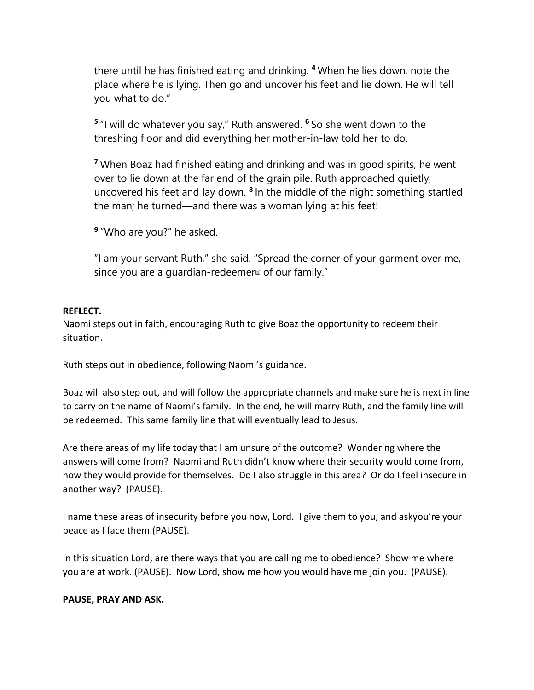there until he has finished eating and drinking. **<sup>4</sup>** When he lies down, note the place where he is lying. Then go and uncover his feet and lie down. He will tell you what to do."

**<sup>5</sup>** "I will do whatever you say," Ruth answered. **<sup>6</sup>** So she went down to the threshing floor and did everything her mother-in-law told her to do.

**<sup>7</sup>** When Boaz had finished eating and drinking and was in good spirits, he went over to lie down at the far end of the grain pile. Ruth approached quietly, uncovered his feet and lay down. **<sup>8</sup>** In the middle of the night something startled the man; he turned—and there was a woman lying at his feet!

**<sup>9</sup>** "Who are you?" he asked.

"I am your servant Ruth," she said. "Spread the corner of your garment over me, since you are a quardian-redeemer $\omega$  of our family."

### **REFLECT.**

Naomi steps out in faith, encouraging Ruth to give Boaz the opportunity to redeem their situation.

Ruth steps out in obedience, following Naomi's guidance.

Boaz will also step out, and will follow the appropriate channels and make sure he is next in line to carry on the name of Naomi's family. In the end, he will marry Ruth, and the family line will be redeemed. This same family line that will eventually lead to Jesus.

Are there areas of my life today that I am unsure of the outcome? Wondering where the answers will come from? Naomi and Ruth didn't know where their security would come from, how they would provide for themselves. Do I also struggle in this area? Or do I feel insecure in another way? (PAUSE).

I name these areas of insecurity before you now, Lord. I give them to you, and askyou're your peace as I face them.(PAUSE).

In this situation Lord, are there ways that you are calling me to obedience? Show me where you are at work. (PAUSE). Now Lord, show me how you would have me join you. (PAUSE).

# **PAUSE, PRAY AND ASK.**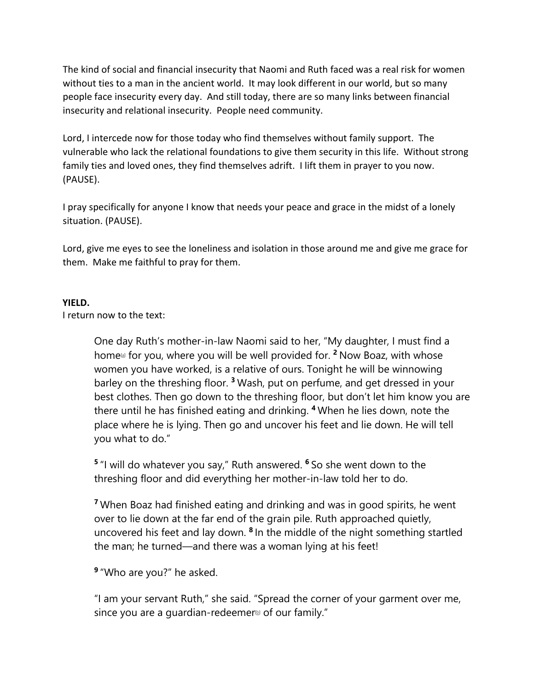The kind of social and financial insecurity that Naomi and Ruth faced was a real risk for women without ties to a man in the ancient world. It may look different in our world, but so many people face insecurity every day. And still today, there are so many links between financial insecurity and relational insecurity. People need community.

Lord, I intercede now for those today who find themselves without family support. The vulnerable who lack the relational foundations to give them security in this life. Without strong family ties and loved ones, they find themselves adrift. I lift them in prayer to you now. (PAUSE).

I pray specifically for anyone I know that needs your peace and grace in the midst of a lonely situation. (PAUSE).

Lord, give me eyes to see the loneliness and isolation in those around me and give me grace for them. Make me faithful to pray for them.

### **YIELD.**

I return now to the text:

One day Ruth's mother-in-law Naomi said to her, "My daughter, I must find a home[a] for you, where you will be well provided for. **<sup>2</sup>** Now Boaz, with whose women you have worked, is a relative of ours. Tonight he will be winnowing barley on the threshing floor. **<sup>3</sup>** Wash, put on perfume, and get dressed in your best clothes. Then go down to the threshing floor, but don't let him know you are there until he has finished eating and drinking. **<sup>4</sup>** When he lies down, note the place where he is lying. Then go and uncover his feet and lie down. He will tell you what to do."

**<sup>5</sup>** "I will do whatever you say," Ruth answered. **<sup>6</sup>** So she went down to the threshing floor and did everything her mother-in-law told her to do.

**<sup>7</sup>** When Boaz had finished eating and drinking and was in good spirits, he went over to lie down at the far end of the grain pile. Ruth approached quietly, uncovered his feet and lay down. **<sup>8</sup>** In the middle of the night something startled the man; he turned—and there was a woman lying at his feet!

**<sup>9</sup>** "Who are you?" he asked.

"I am your servant Ruth," she said. "Spread the corner of your garment over me, since you are a quardian-redeemer $\omega$  of our family."